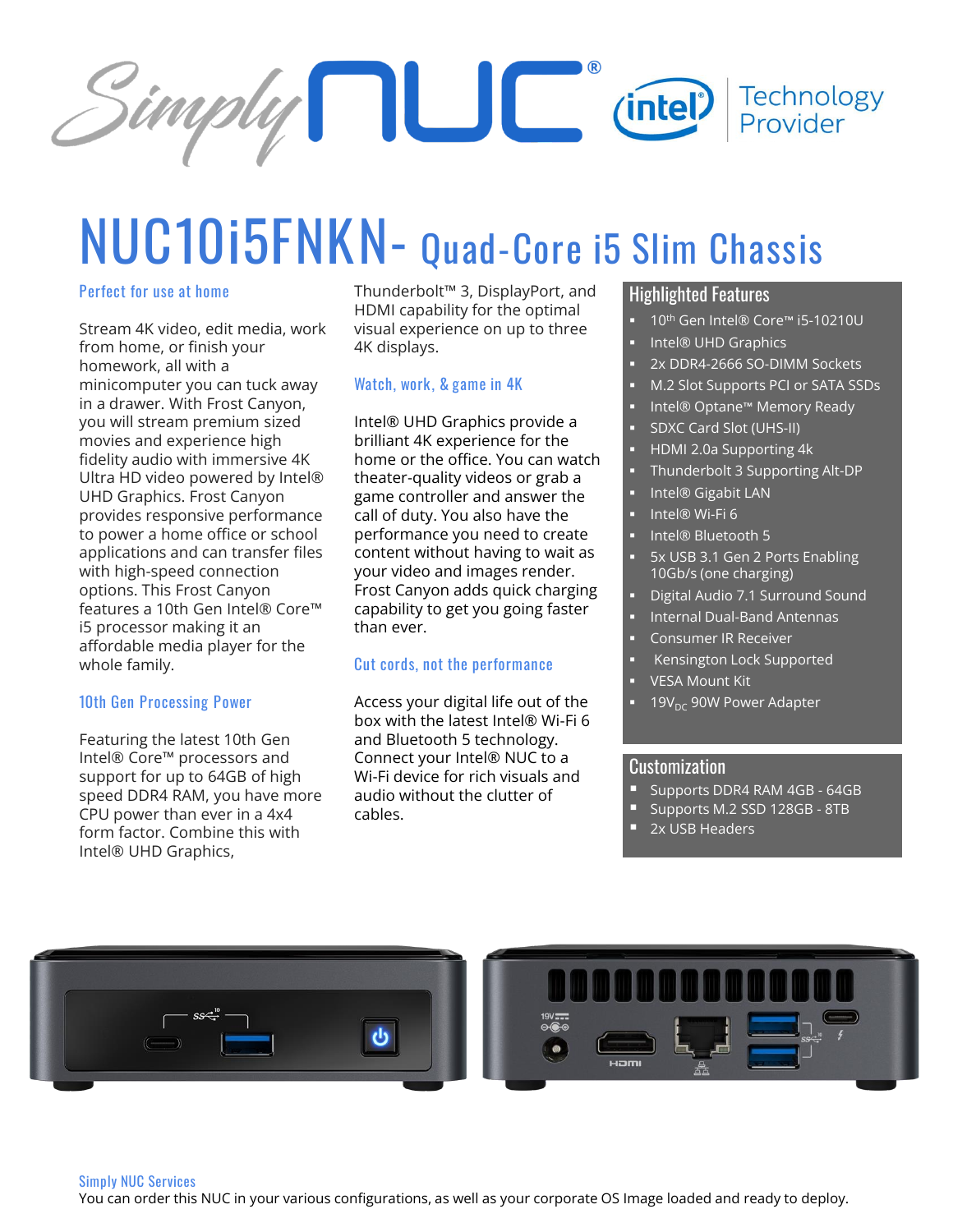

# **NUC10i5FNKN- Quad-Core i5 Slim Chassis**

#### **Perfect for use at home**

Stream 4K video, edit media, work from home, or finish your homework, all with a minicomputer you can tuck away in a drawer. With Frost Canyon, you will stream premium sized movies and experience high fidelity audio with immersive 4K Ultra HD video powered by Intel® UHD Graphics. Frost Canyon provides responsive performance to power a home office or school applications and can transfer files with high-speed connection options. This Frost Canyon features a 10th Gen Intel® Core™ i5 processor making it an affordable media player for the whole family.

#### **10th Gen Processing Power**

Featuring the latest 10th Gen Intel® Core™ processors and support for up to 64GB of high speed DDR4 RAM, you have more CPU power than ever in a 4x4 form factor. Combine this with Intel® UHD Graphics,

Thunderbolt™ 3, DisplayPort, and HDMI capability for the optimal visual experience on up to three 4K displays.

#### **Watch, work, & game in 4K**

Intel® UHD Graphics provide a brilliant 4K experience for the home or the office. You can watch theater-quality videos or grab a game controller and answer the call of duty. You also have the performance you need to create content without having to wait as your video and images render. Frost Canyon adds quick charging capability to get you going faster than ever.

#### **Cut cords, not the performance**

Access your digital life out of the box with the latest Intel® Wi-Fi 6 and Bluetooth 5 technology. Connect your Intel® NUC to a Wi-Fi device for rich visuals and audio without the clutter of cables.

### Highlighted Features

- 10<sup>th</sup> Gen Intel® Core™ i5-10210U
- Intel® UHD Graphics
- 2x DDR4-2666 SO-DIMM Sockets
- M.2 Slot Supports PCI or SATA SSDs
- Intel® Optane™ Memory Ready
- **SDXC Card Slot (UHS-II)**
- HDMI 2.0a Supporting 4k
- Thunderbolt 3 Supporting Alt-DP
- Intel® Gigabit LAN
- Intel® Wi-Fi 6
- Intel® Bluetooth 5
- 5x USB 3.1 Gen 2 Ports Enabling 10Gb/s (one charging)
- Digital Audio 7.1 Surround Sound
- **Internal Dual-Band Antennas**
- Consumer IR Receiver
- **Kensington Lock Supported**
- **VESA Mount Kit**
- $19V_{DC}$  90W Power Adapter

#### Customization

- **E** Supports DDR4 RAM 4GB 64GB
- Supports M.2 SSD 128GB 8TB
- 2x USB Headers



#### **Simply NUC Services**

You can order this NUC in your various configurations, as well as your corporate OS Image loaded and ready to deploy.